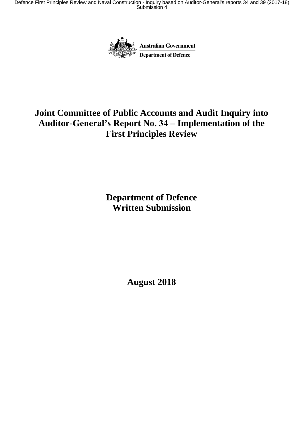Defence First Principles Review and Naval Construction - Inquiry based on Auditor-General's reports 34 and 39 (2017-18) Submission 4



# **Joint Committee of Public Accounts and Audit Inquiry into Auditor-General's Report No. 34 – Implementation of the First Principles Review**

**Department of Defence Written Submission**

**August 2018**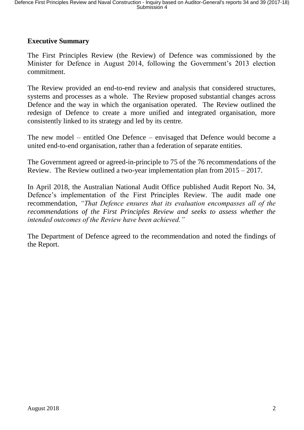#### **Executive Summary**

The First Principles Review (the Review) of Defence was commissioned by the Minister for Defence in August 2014, following the Government's 2013 election commitment.

The Review provided an end-to-end review and analysis that considered structures, systems and processes as a whole. The Review proposed substantial changes across Defence and the way in which the organisation operated. The Review outlined the redesign of Defence to create a more unified and integrated organisation, more consistently linked to its strategy and led by its centre.

The new model – entitled One Defence – envisaged that Defence would become a united end-to-end organisation, rather than a federation of separate entities.

The Government agreed or agreed-in-principle to 75 of the 76 recommendations of the Review. The Review outlined a two-year implementation plan from 2015 – 2017.

In April 2018, the Australian National Audit Office published Audit Report No. 34, Defence's implementation of the First Principles Review. The audit made one recommendation, *"That Defence ensures that its evaluation encompasses all of the recommendations of the First Principles Review and seeks to assess whether the intended outcomes of the Review have been achieved."*

The Department of Defence agreed to the recommendation and noted the findings of the Report.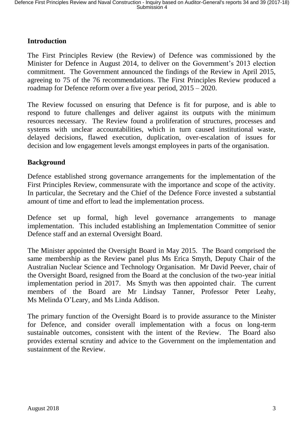## **Introduction**

The First Principles Review (the Review) of Defence was commissioned by the Minister for Defence in August 2014, to deliver on the Government's 2013 election commitment. The Government announced the findings of the Review in April 2015, agreeing to 75 of the 76 recommendations. The First Principles Review produced a roadmap for Defence reform over a five year period, 2015 – 2020.

The Review focussed on ensuring that Defence is fit for purpose, and is able to respond to future challenges and deliver against its outputs with the minimum resources necessary. The Review found a proliferation of structures, processes and systems with unclear accountabilities, which in turn caused institutional waste, delayed decisions, flawed execution, duplication, over-escalation of issues for decision and low engagement levels amongst employees in parts of the organisation.

#### **Background**

Defence established strong governance arrangements for the implementation of the First Principles Review, commensurate with the importance and scope of the activity. In particular, the Secretary and the Chief of the Defence Force invested a substantial amount of time and effort to lead the implementation process.

Defence set up formal, high level governance arrangements to manage implementation. This included establishing an Implementation Committee of senior Defence staff and an external Oversight Board.

The Minister appointed the Oversight Board in May 2015. The Board comprised the same membership as the Review panel plus Ms Erica Smyth, Deputy Chair of the Australian Nuclear Science and Technology Organisation. Mr David Peever, chair of the Oversight Board, resigned from the Board at the conclusion of the two-year initial implementation period in 2017. Ms Smyth was then appointed chair. The current members of the Board are Mr Lindsay Tanner, Professor Peter Leahy, Ms Melinda O'Leary, and Ms Linda Addison.

The primary function of the Oversight Board is to provide assurance to the Minister for Defence, and consider overall implementation with a focus on long-term sustainable outcomes, consistent with the intent of the Review. The Board also provides external scrutiny and advice to the Government on the implementation and sustainment of the Review.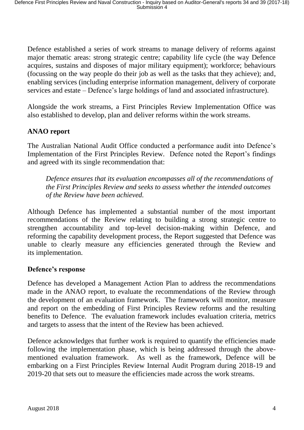Defence established a series of work streams to manage delivery of reforms against major thematic areas: strong strategic centre; capability life cycle (the way Defence acquires, sustains and disposes of major military equipment); workforce; behaviours (focussing on the way people do their job as well as the tasks that they achieve); and, enabling services (including enterprise information management, delivery of corporate services and estate – Defence's large holdings of land and associated infrastructure).

Alongside the work streams, a First Principles Review Implementation Office was also established to develop, plan and deliver reforms within the work streams.

## **ANAO report**

The Australian National Audit Office conducted a performance audit into Defence's Implementation of the First Principles Review. Defence noted the Report's findings and agreed with its single recommendation that:

*Defence ensures that its evaluation encompasses all of the recommendations of the First Principles Review and seeks to assess whether the intended outcomes of the Review have been achieved.*

Although Defence has implemented a substantial number of the most important recommendations of the Review relating to building a strong strategic centre to strengthen accountability and top-level decision-making within Defence, and reforming the capability development process, the Report suggested that Defence was unable to clearly measure any efficiencies generated through the Review and its implementation.

#### **Defence's response**

Defence has developed a Management Action Plan to address the recommendations made in the ANAO report, to evaluate the recommendations of the Review through the development of an evaluation framework. The framework will monitor, measure and report on the embedding of First Principles Review reforms and the resulting benefits to Defence. The evaluation framework includes evaluation criteria, metrics and targets to assess that the intent of the Review has been achieved.

Defence acknowledges that further work is required to quantify the efficiencies made following the implementation phase, which is being addressed through the abovementioned evaluation framework. As well as the framework, Defence will be embarking on a First Principles Review Internal Audit Program during 2018-19 and 2019-20 that sets out to measure the efficiencies made across the work streams.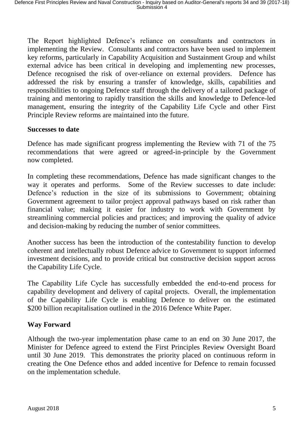The Report highlighted Defence's reliance on consultants and contractors in implementing the Review. Consultants and contractors have been used to implement key reforms, particularly in Capability Acquisition and Sustainment Group and whilst external advice has been critical in developing and implementing new processes, Defence recognised the risk of over-reliance on external providers. Defence has addressed the risk by ensuring a transfer of knowledge, skills, capabilities and responsibilities to ongoing Defence staff through the delivery of a tailored package of training and mentoring to rapidly transition the skills and knowledge to Defence-led management, ensuring the integrity of the Capability Life Cycle and other First Principle Review reforms are maintained into the future.

#### **Successes to date**

Defence has made significant progress implementing the Review with 71 of the 75 recommendations that were agreed or agreed-in-principle by the Government now completed.

In completing these recommendations, Defence has made significant changes to the way it operates and performs. Some of the Review successes to date include: Defence's reduction in the size of its submissions to Government; obtaining Government agreement to tailor project approval pathways based on risk rather than financial value; making it easier for industry to work with Government by streamlining commercial policies and practices; and improving the quality of advice and decision-making by reducing the number of senior committees.

Another success has been the introduction of the contestability function to develop coherent and intellectually robust Defence advice to Government to support informed investment decisions, and to provide critical but constructive decision support across the Capability Life Cycle.

The Capability Life Cycle has successfully embedded the end-to-end process for capability development and delivery of capital projects. Overall, the implementation of the Capability Life Cycle is enabling Defence to deliver on the estimated \$200 billion recapitalisation outlined in the 2016 Defence White Paper.

## **Way Forward**

Although the two-year implementation phase came to an end on 30 June 2017, the Minister for Defence agreed to extend the First Principles Review Oversight Board until 30 June 2019. This demonstrates the priority placed on continuous reform in creating the One Defence ethos and added incentive for Defence to remain focussed on the implementation schedule.